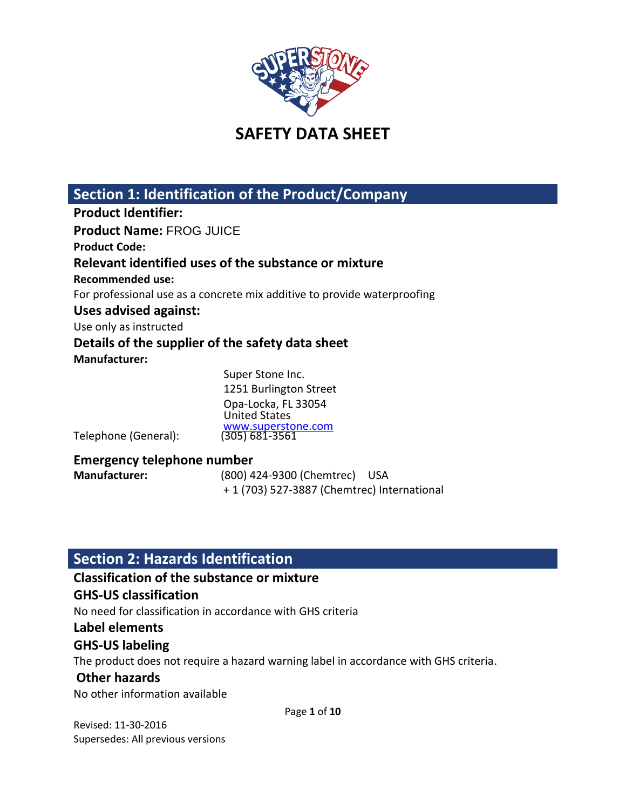

# **Section 1: Identification of the Product/Company**

**Product Identifier: Product Name:** FROG JUICE **Product Code: Relevant identified uses of the substance or mixture Recommended use:** For professional use as a concrete mix additive to provide waterproofing **Uses advised against:** Use only as instructed **Details of the supplier of the safety data sheet Manufacturer:**  Super Stone Inc.

1251 Burlington Street Opa-Locka, FL 33054 United States [www.superstone.com](http://www.superstone.com/)<br>(305) 681-3561

Telephone (General):

### **Emergency telephone number**

**Manufacturer:** (800) 424-9300 (Chemtrec) USA + 1 (703) 527-3887 (Chemtrec) International

# **Section 2: Hazards Identification**

### **Classification of the substance or mixture**

## **GHS-US classification**

No need for classification in accordance with GHS criteria

### **Label elements**

## **GHS-US labeling**

The product does not require a hazard warning label in accordance with GHS criteria.

## **Other hazards**

No other information available

Page **1** of **10**

Revised: 11-30-2016 Supersedes: All previous versions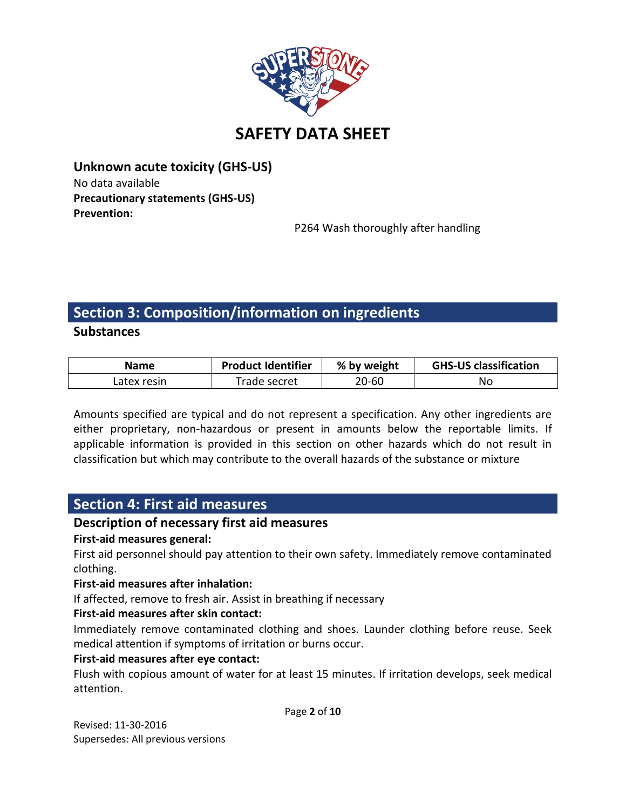

**Unknown acute toxicity (GHS-US)** No data available **Precautionary statements (GHS-US) Prevention:**

P264 Wash thoroughly after handling

# **Section 3: Composition/information on ingredients**

**Substances**

| Name        | <b>Product Identifier</b> | % by weight | <b>GHS-US classification</b> |
|-------------|---------------------------|-------------|------------------------------|
| Latex resin | Trade secret              | 20-60       | No                           |

Amounts specified are typical and do not represent a specification. Any other ingredients are either proprietary, non-hazardous or present in amounts below the reportable limits. If applicable information is provided in this section on other hazards which do not result in classification but which may contribute to the overall hazards of the substance or mixture

# **Section 4: First aid measures**

## **Description of necessary first aid measures**

### **First-aid measures general:**

First aid personnel should pay attention to their own safety. Immediately remove contaminated clothing.

### **First-aid measures after inhalation:**

If affected, remove to fresh air. Assist in breathing if necessary

### **First-aid measures after skin contact:**

Immediately remove contaminated clothing and shoes. Launder clothing before reuse. Seek medical attention if symptoms of irritation or burns occur.

### **First-aid measures after eye contact:**

Flush with copious amount of water for at least 15 minutes. If irritation develops, seek medical attention.

Page **2** of **10**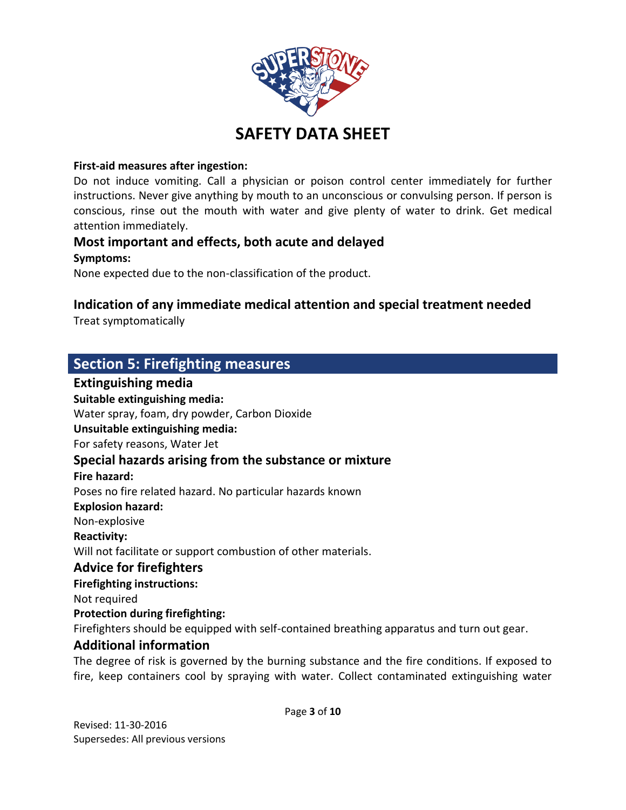

### **First-aid measures after ingestion:**

Do not induce vomiting. Call a physician or poison control center immediately for further instructions. Never give anything by mouth to an unconscious or convulsing person. If person is conscious, rinse out the mouth with water and give plenty of water to drink. Get medical attention immediately.

# **Most important and effects, both acute and delayed**

### **Symptoms:**

None expected due to the non-classification of the product.

## **Indication of any immediate medical attention and special treatment needed**

Treat symptomatically

# **Section 5: Firefighting measures**

## **Extinguishing media Suitable extinguishing media:** Water spray, foam, dry powder, Carbon Dioxide **Unsuitable extinguishing media:** For safety reasons, Water Jet **Special hazards arising from the substance or mixture Fire hazard:** Poses no fire related hazard. No particular hazards known **Explosion hazard:** Non-explosive **Reactivity:** Will not facilitate or support combustion of other materials. **Advice for firefighters Firefighting instructions:** Not required **Protection during firefighting:** Firefighters should be equipped with self-contained breathing apparatus and turn out gear. **Additional information** The degree of risk is governed by the burning substance and the fire conditions. If exposed to

fire, keep containers cool by spraying with water. Collect contaminated extinguishing water

Page **3** of **10**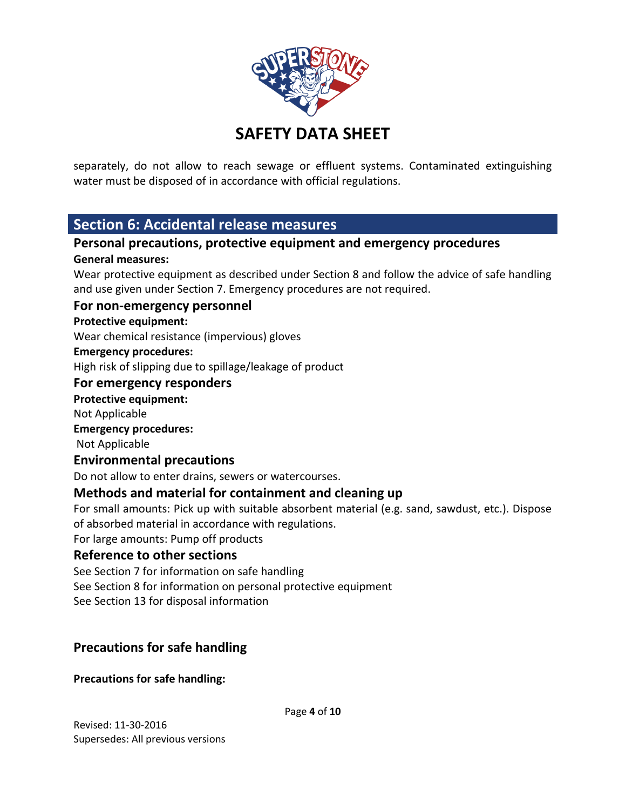

separately, do not allow to reach sewage or effluent systems. Contaminated extinguishing water must be disposed of in accordance with official regulations.

## **Section 6: Accidental release measures**

## **Personal precautions, protective equipment and emergency procedures General measures:**

Wear protective equipment as described under Section 8 and follow the advice of safe handling and use given under Section 7. Emergency procedures are not required.

### **For non-emergency personnel**

### **Protective equipment:**

Wear chemical resistance (impervious) gloves

### **Emergency procedures:**

High risk of slipping due to spillage/leakage of product

### **For emergency responders**

### **Protective equipment:**

Not Applicable

### **Emergency procedures:**

Not Applicable

### **Environmental precautions**

Do not allow to enter drains, sewers or watercourses.

## **Methods and material for containment and cleaning up**

For small amounts: Pick up with suitable absorbent material (e.g. sand, sawdust, etc.). Dispose of absorbed material in accordance with regulations.

For large amounts: Pump off products

### **Reference to other sections**

See Section 7 for information on safe handling See Section 8 for information on personal protective equipment See Section 13 for disposal information

## **Precautions for safe handling**

**Precautions for safe handling:**

Page **4** of **10**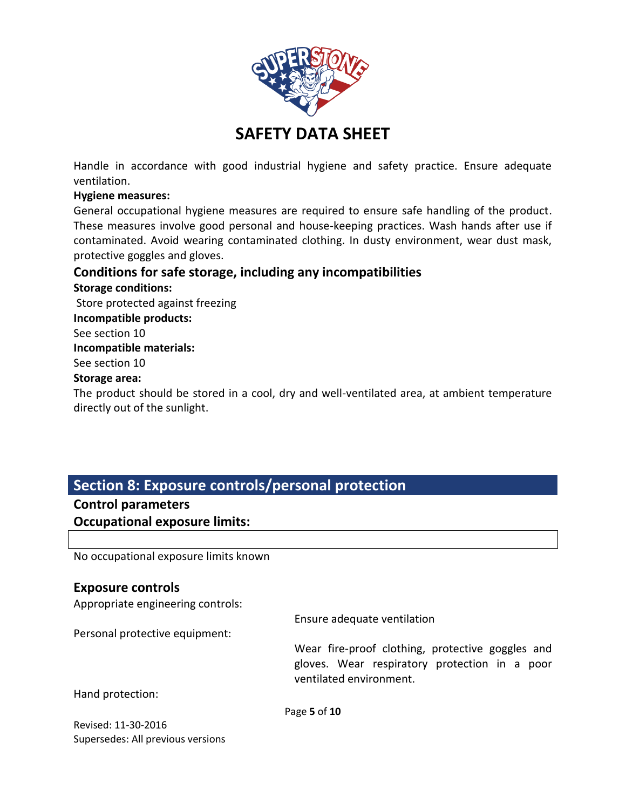

Handle in accordance with good industrial hygiene and safety practice. Ensure adequate ventilation.

### **Hygiene measures:**

General occupational hygiene measures are required to ensure safe handling of the product. These measures involve good personal and house-keeping practices. Wash hands after use if contaminated. Avoid wearing contaminated clothing. In dusty environment, wear dust mask, protective goggles and gloves.

## **Conditions for safe storage, including any incompatibilities**

**Storage conditions:** Store protected against freezing **Incompatible products:** See section 10 **Incompatible materials:** See section 10 **Storage area:**

The product should be stored in a cool, dry and well-ventilated area, at ambient temperature directly out of the sunlight.

# **Section 8: Exposure controls/personal protection**

### **Control parameters**

**Occupational exposure limits:**

No occupational exposure limits known

### **Exposure controls**

Appropriate engineering controls:

Personal protective equipment:

Ensure adequate ventilation

Wear fire-proof clothing, protective goggles and gloves. Wear respiratory protection in a poor ventilated environment.

Hand protection:

Page **5** of **10**

Revised: 11-30-2016 Supersedes: All previous versions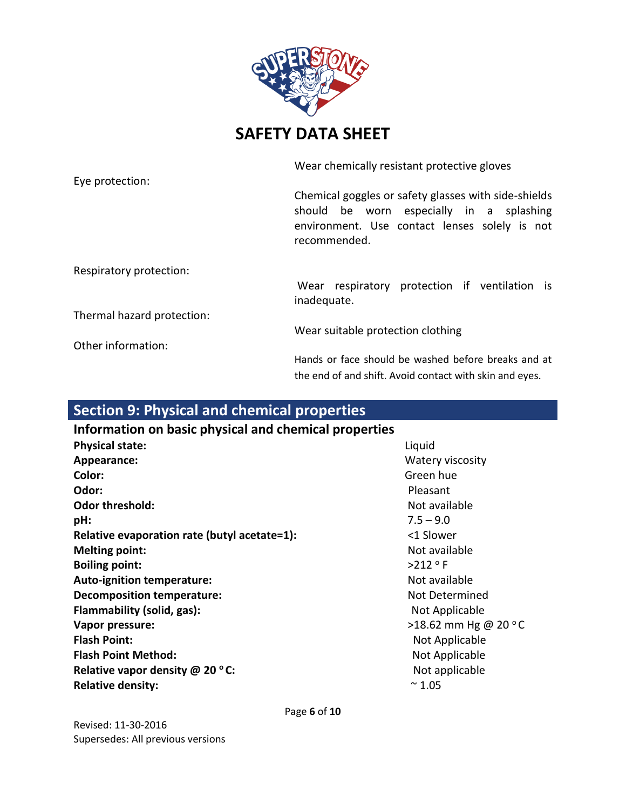

Eye protection:

Wear chemically resistant protective gloves

Chemical goggles or safety glasses with side-shields should be worn especially in a splashing environment. Use contact lenses solely is not recommended.

Respiratory protection:

Wear respiratory protection if ventilation is inadequate.

Thermal hazard protection:

Other information:

Wear suitable protection clothing

Hands or face should be washed before breaks and at the end of and shift. Avoid contact with skin and eyes.

# **Section 9: Physical and chemical properties**

## **Information on basic physical and chemical properties Physical state:** Liquid **Appearance:** Watery viscosity **Color:** Green hue **Odor:** Pleasant **Odor threshold:** Not available and the state of the state of the state of the state of the state of the state of the state of the state of the state of the state of the state of the state of the state of the state of the **pH:** 7.5 – 9.0 **Relative evaporation rate (butyl acetate=1):** <1 Slower **Melting point:** Not available **Boiling point:**  $>212 \text{ °F}$ **Auto-ignition temperature:** Not available in the Mot available **Decomposition temperature:** Not Determined **Flammability (solid, gas):** Not Applicable **Not Applicable Vapor pressure:**  $>18.62$  mm Hg @ 20 °C **Flash Point:** Not Applicable **Flash Point Method:** Not Applicable Not Applicable **Relative vapor density @ 20 °C:**  $\bullet$  **C:** Not applicable **Relative density:**  $\sim 1.05$

Page **6** of **10**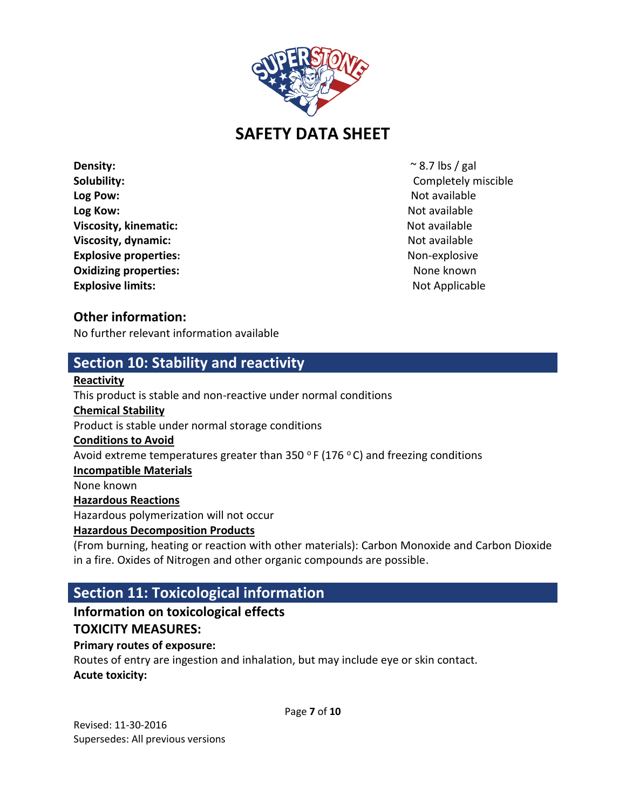

**Density:**  $\sim$  8.7 lbs / gal **Solubility:** Completely miscible **Log Pow:** Not available **Log Pow:** Not available **Not available Not available Not available Log Kow:** Not available **Log Kow:** Not available **Not available Not available Not available Viscosity, kinematic:**  $\blacksquare$ **Viscosity, dynamic:** Not available Not available Not available **Explosive properties:** Non-explosive **Non-explosive Oxidizing properties:** None known and the state of the state of the state of the state of the state of the state of the state of the state of the state of the state of the state of the state of the state of the state of t **Explosive limits:** Not Applicable **Explosive limits:** Not Applicable

## **Other information:**

No further relevant information available

## **Section 10: Stability and reactivity**

### **Reactivity**

This product is stable and non-reactive under normal conditions **Chemical Stability** Product is stable under normal storage conditions **Conditions to Avoid**  Avoid extreme temperatures greater than 350  $\degree$  F (176  $\degree$  C) and freezing conditions **Incompatible Materials** None known **Hazardous Reactions** Hazardous polymerization will not occur **Hazardous Decomposition Products** (From burning, heating or reaction with other materials): Carbon Monoxide and Carbon Dioxide in a fire. Oxides of Nitrogen and other organic compounds are possible.

# **Section 11: Toxicological information**

# **Information on toxicological effects**

## **TOXICITY MEASURES:**

### **Primary routes of exposure:**

Routes of entry are ingestion and inhalation, but may include eye or skin contact. **Acute toxicity:**

Page **7** of **10**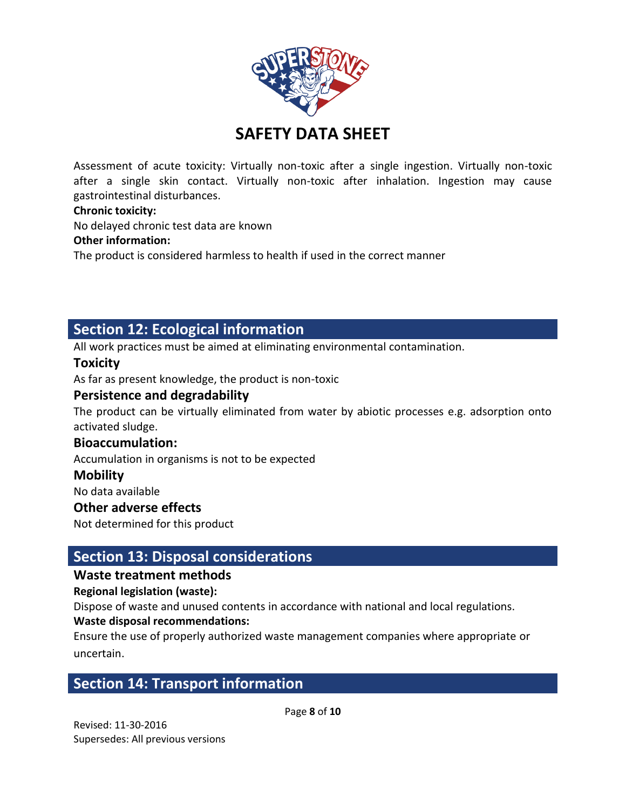

Assessment of acute toxicity: Virtually non-toxic after a single ingestion. Virtually non-toxic after a single skin contact. Virtually non-toxic after inhalation. Ingestion may cause gastrointestinal disturbances.

### **Chronic toxicity:**

No delayed chronic test data are known

### **Other information:**

The product is considered harmless to health if used in the correct manner

# **Section 12: Ecological information**

All work practices must be aimed at eliminating environmental contamination.

### **Toxicity**

As far as present knowledge, the product is non-toxic

### **Persistence and degradability**

The product can be virtually eliminated from water by abiotic processes e.g. adsorption onto activated sludge.

### **Bioaccumulation:**

Accumulation in organisms is not to be expected

### **Mobility**

No data available

### **Other adverse effects**

Not determined for this product

## **Section 13: Disposal considerations**

### **Waste treatment methods**

### **Regional legislation (waste):**

Dispose of waste and unused contents in accordance with national and local regulations.

### **Waste disposal recommendations:**

Ensure the use of properly authorized waste management companies where appropriate or uncertain.

# **Section 14: Transport information**

Page **8** of **10**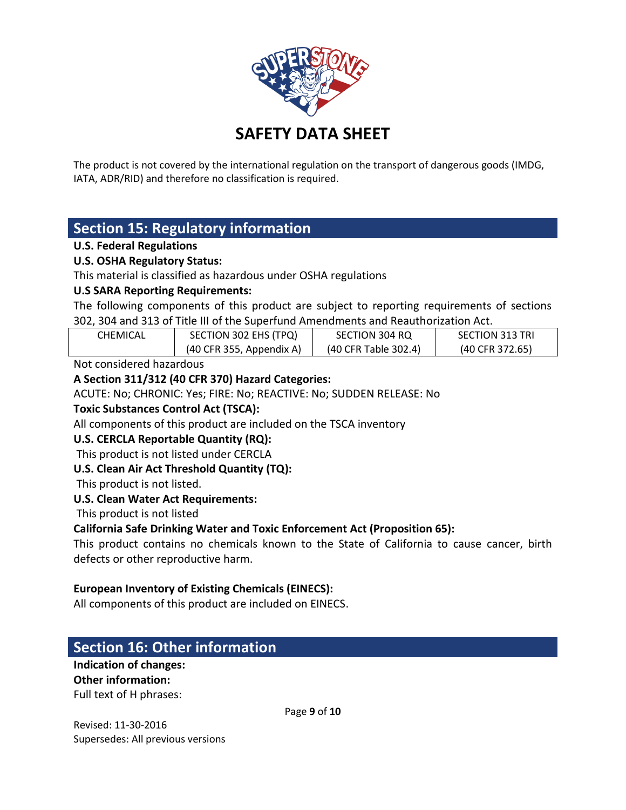

The product is not covered by the international regulation on the transport of dangerous goods (IMDG, IATA, ADR/RID) and therefore no classification is required.

# **Section 15: Regulatory information**

### **U.S. Federal Regulations**

### **U.S. OSHA Regulatory Status:**

This material is classified as hazardous under OSHA regulations

### **U.S SARA Reporting Requirements:**

The following components of this product are subject to reporting requirements of sections 302, 304 and 313 of Title III of the Superfund Amendments and Reauthorization Act.

| <b>CHEMICAL</b> | SECTION 302 EHS (TPQ)      | SECTION 304 RQ       | <b>SECTION 313 TRI</b> |
|-----------------|----------------------------|----------------------|------------------------|
|                 | $(40$ CFR 355, Appendix A) | (40 CFR Table 302.4) | (40 CFR 372.65)        |
|                 |                            |                      |                        |

Not considered hazardous

### **A Section 311/312 (40 CFR 370) Hazard Categories:**

ACUTE: No; CHRONIC: Yes; FIRE: No; REACTIVE: No; SUDDEN RELEASE: No

### **Toxic Substances Control Act (TSCA):**

All components of this product are included on the TSCA inventory

### **U.S. CERCLA Reportable Quantity (RQ):**

This product is not listed under CERCLA

### **U.S. Clean Air Act Threshold Quantity (TQ):**

This product is not listed.

### **U.S. Clean Water Act Requirements:**

This product is not listed

### **California Safe Drinking Water and Toxic Enforcement Act (Proposition 65):**

This product contains no chemicals known to the State of California to cause cancer, birth defects or other reproductive harm.

### **European Inventory of Existing Chemicals (EINECS):**

All components of this product are included on EINECS.

# **Section 16: Other information**

**Indication of changes: Other information:**

Full text of H phrases:

Page **9** of **10**

Revised: 11-30-2016 Supersedes: All previous versions